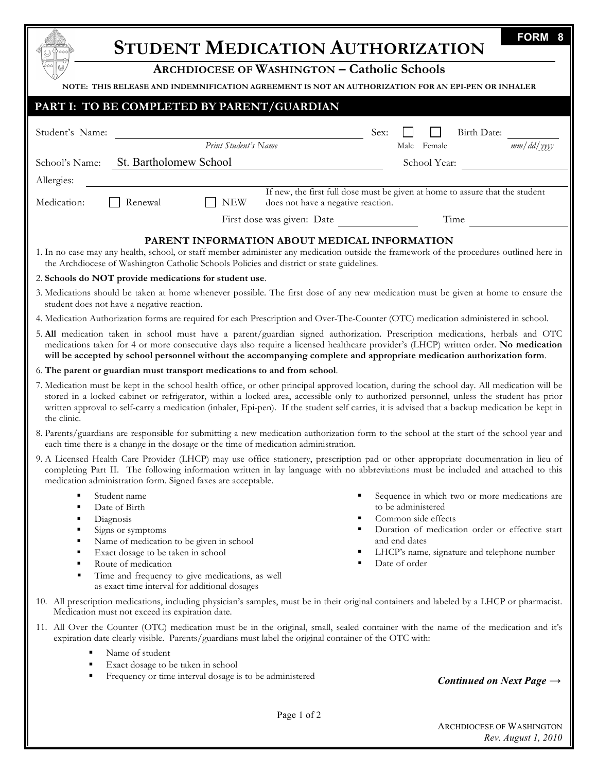| <b>STUDENT MEDICATION AUTHORIZATION</b>                                                                                                                                                                                                                                                                                                                                                                                                                 | <b>FORM</b>                                                                                                               |  |
|---------------------------------------------------------------------------------------------------------------------------------------------------------------------------------------------------------------------------------------------------------------------------------------------------------------------------------------------------------------------------------------------------------------------------------------------------------|---------------------------------------------------------------------------------------------------------------------------|--|
| <b>ARCHDIOCESE OF WASHINGTON - Catholic Schools</b>                                                                                                                                                                                                                                                                                                                                                                                                     |                                                                                                                           |  |
| NOTE: THIS RELEASE AND INDEMNIFICATION AGREEMENT IS NOT AN AUTHORIZATION FOR AN EPI-PEN OR INHALER                                                                                                                                                                                                                                                                                                                                                      |                                                                                                                           |  |
| PART I: TO BE COMPLETED BY PARENT/GUARDIAN                                                                                                                                                                                                                                                                                                                                                                                                              |                                                                                                                           |  |
| Student's Name:<br>Print Student's Name                                                                                                                                                                                                                                                                                                                                                                                                                 | Sex:<br>Birth Date:                                                                                                       |  |
|                                                                                                                                                                                                                                                                                                                                                                                                                                                         | $mm/dd/$ yyyy<br>Male Female                                                                                              |  |
| St. Bartholomew School<br>School's Name:                                                                                                                                                                                                                                                                                                                                                                                                                | School Year:                                                                                                              |  |
| Allergies:<br>If new, the first full dose must be given at home to assure that the student                                                                                                                                                                                                                                                                                                                                                              |                                                                                                                           |  |
| Medication:<br><b>NEW</b><br>Renewal<br>does not have a negative reaction.                                                                                                                                                                                                                                                                                                                                                                              |                                                                                                                           |  |
| First dose was given: Date                                                                                                                                                                                                                                                                                                                                                                                                                              | Time                                                                                                                      |  |
| PARENT INFORMATION ABOUT MEDICAL INFORMATION<br>1. In no case may any health, school, or staff member administer any medication outside the framework of the procedures outlined here in<br>the Archdiocese of Washington Catholic Schools Policies and district or state guidelines.                                                                                                                                                                   |                                                                                                                           |  |
| 2. Schools do NOT provide medications for student use.                                                                                                                                                                                                                                                                                                                                                                                                  |                                                                                                                           |  |
| 3. Medications should be taken at home whenever possible. The first dose of any new medication must be given at home to ensure the<br>student does not have a negative reaction.                                                                                                                                                                                                                                                                        |                                                                                                                           |  |
| 4. Medication Authorization forms are required for each Prescription and Over-The-Counter (OTC) medication administered in school.                                                                                                                                                                                                                                                                                                                      |                                                                                                                           |  |
| 5. All medication taken in school must have a parent/guardian signed authorization. Prescription medications, herbals and OTC<br>medications taken for 4 or more consecutive days also require a licensed healthcare provider's (LHCP) written order. No medication<br>will be accepted by school personnel without the accompanying complete and appropriate medication authorization form.                                                            |                                                                                                                           |  |
| 6. The parent or guardian must transport medications to and from school.                                                                                                                                                                                                                                                                                                                                                                                |                                                                                                                           |  |
| 7. Medication must be kept in the school health office, or other principal approved location, during the school day. All medication will be<br>stored in a locked cabinet or refrigerator, within a locked area, accessible only to authorized personnel, unless the student has prior<br>written approval to self-carry a medication (inhaler, Epi-pen). If the student self carries, it is advised that a backup medication be kept in<br>the clinic. |                                                                                                                           |  |
| 8. Parents/guardians are responsible for submitting a new medication authorization form to the school at the start of the school year and<br>each time there is a change in the dosage or the time of medication administration.                                                                                                                                                                                                                        |                                                                                                                           |  |
| 9. A Licensed Health Care Provider (LHCP) may use office stationery, prescription pad or other appropriate documentation in lieu of<br>completing Part II. The following information written in lay language with no abbreviations must be included and attached to this<br>medication administration form. Signed faxes are acceptable.                                                                                                                |                                                                                                                           |  |
| Student name<br>٠<br>Date of Birth<br>٠<br>Diagnosis<br>п                                                                                                                                                                                                                                                                                                                                                                                               | ٠<br>Sequence in which two or more medications are<br>to be administered<br>Common side effects                           |  |
| Signs or symptoms<br>Name of medication to be given in school<br>Е<br>Exact dosage to be taken in school<br>п                                                                                                                                                                                                                                                                                                                                           | Duration of medication order or effective start<br>٠<br>and end dates<br>LHCP's name, signature and telephone number<br>٠ |  |
| Route of medication<br>Time and frequency to give medications, as well<br>п<br>as exact time interval for additional dosages                                                                                                                                                                                                                                                                                                                            | Date of order                                                                                                             |  |
| 10. All prescription medications, including physician's samples, must be in their original containers and labeled by a LHCP or pharmacist.<br>Medication must not exceed its expiration date.                                                                                                                                                                                                                                                           |                                                                                                                           |  |
| 11. All Over the Counter (OTC) medication must be in the original, small, sealed container with the name of the medication and it's<br>expiration date clearly visible. Parents/guardians must label the original container of the OTC with:                                                                                                                                                                                                            |                                                                                                                           |  |
| Name of student<br>٠<br>Exact dosage to be taken in school<br>٠<br>Frequency or time interval dosage is to be administered<br>٠                                                                                                                                                                                                                                                                                                                         | Continued on Next Page $\rightarrow$                                                                                      |  |
|                                                                                                                                                                                                                                                                                                                                                                                                                                                         |                                                                                                                           |  |

Page 1 of 2

ARCHDIOCESE OF WASHINGTON *Rev. August 1, 2010*